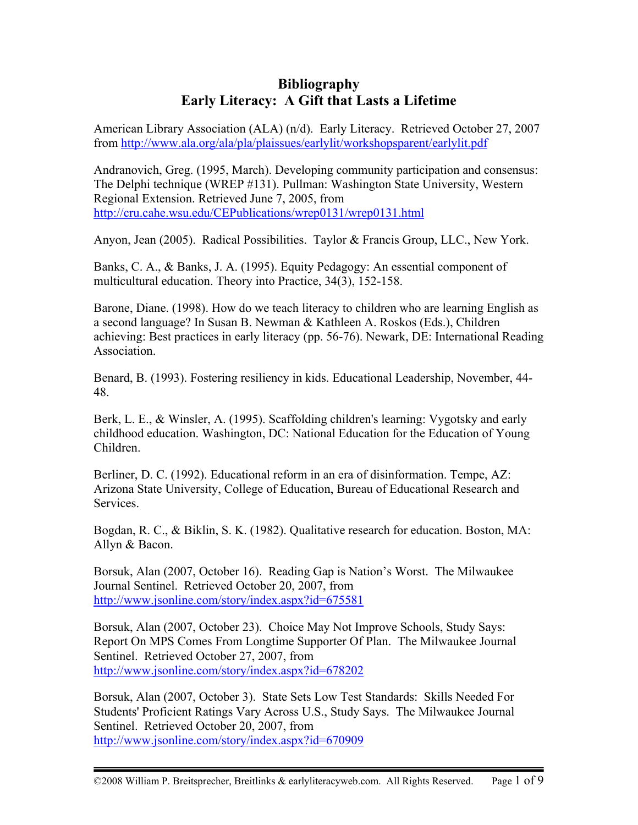## **Bibliography Early Literacy: A Gift that Lasts a Lifetime**

American Library Association (ALA) (n/d). Early Literacy. Retrieved October 27, 2007 from http://www.ala.org/ala/pla/plaissues/earlylit/workshopsparent/earlylit.pdf

Andranovich, Greg. (1995, March). Developing community participation and consensus: The Delphi technique (WREP #131). Pullman: Washington State University, Western Regional Extension. Retrieved June 7, 2005, from http://cru.cahe.wsu.edu/CEPublications/wrep0131/wrep0131.html

Anyon, Jean (2005). Radical Possibilities. Taylor & Francis Group, LLC., New York.

Banks, C. A., & Banks, J. A. (1995). Equity Pedagogy: An essential component of multicultural education. Theory into Practice, 34(3), 152-158.

Barone, Diane. (1998). How do we teach literacy to children who are learning English as a second language? In Susan B. Newman & Kathleen A. Roskos (Eds.), Children achieving: Best practices in early literacy (pp. 56-76). Newark, DE: International Reading Association.

Benard, B. (1993). Fostering resiliency in kids. Educational Leadership, November, 44- 48.

Berk, L. E., & Winsler, A. (1995). Scaffolding children's learning: Vygotsky and early childhood education. Washington, DC: National Education for the Education of Young Children.

Berliner, D. C. (1992). Educational reform in an era of disinformation. Tempe, AZ: Arizona State University, College of Education, Bureau of Educational Research and Services.

Bogdan, R. C., & Biklin, S. K. (1982). Qualitative research for education. Boston, MA: Allyn & Bacon.

Borsuk, Alan (2007, October 16). Reading Gap is Nation's Worst. The Milwaukee Journal Sentinel. Retrieved October 20, 2007, from http://www.jsonline.com/story/index.aspx?id=675581

Borsuk, Alan (2007, October 23). Choice May Not Improve Schools, Study Says: Report On MPS Comes From Longtime Supporter Of Plan. The Milwaukee Journal Sentinel. Retrieved October 27, 2007, from http://www.jsonline.com/story/index.aspx?id=678202

Borsuk, Alan (2007, October 3). State Sets Low Test Standards: Skills Needed For Students' Proficient Ratings Vary Across U.S., Study Says. The Milwaukee Journal Sentinel. Retrieved October 20, 2007, from http://www.jsonline.com/story/index.aspx?id=670909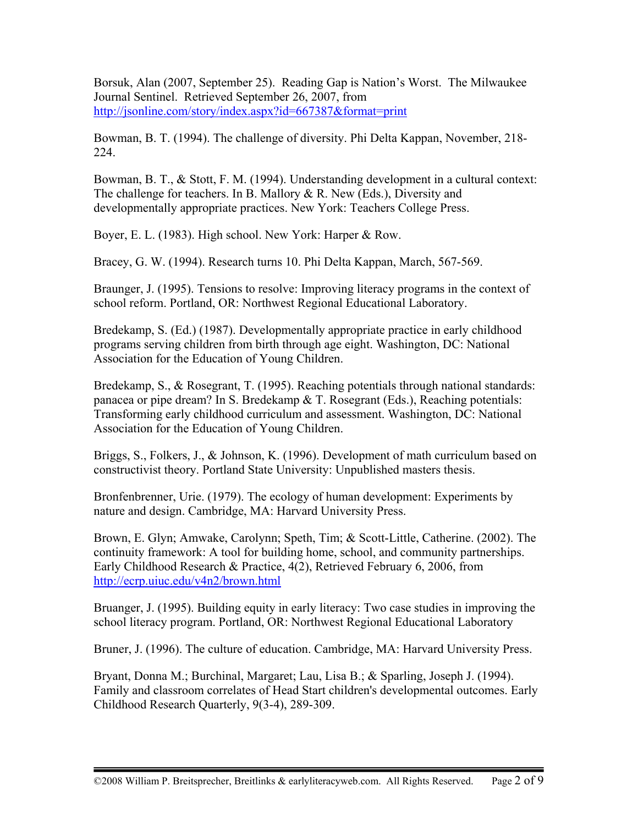Borsuk, Alan (2007, September 25). Reading Gap is Nation's Worst. The Milwaukee Journal Sentinel. Retrieved September 26, 2007, from http://jsonline.com/story/index.aspx?id=667387&format=print

Bowman, B. T. (1994). The challenge of diversity. Phi Delta Kappan, November, 218- 224.

Bowman, B. T., & Stott, F. M. (1994). Understanding development in a cultural context: The challenge for teachers. In B. Mallory & R. New (Eds.), Diversity and developmentally appropriate practices. New York: Teachers College Press.

Boyer, E. L. (1983). High school. New York: Harper & Row.

Bracey, G. W. (1994). Research turns 10. Phi Delta Kappan, March, 567-569.

Braunger, J. (1995). Tensions to resolve: Improving literacy programs in the context of school reform. Portland, OR: Northwest Regional Educational Laboratory.

Bredekamp, S. (Ed.) (1987). Developmentally appropriate practice in early childhood programs serving children from birth through age eight. Washington, DC: National Association for the Education of Young Children.

Bredekamp, S., & Rosegrant, T. (1995). Reaching potentials through national standards: panacea or pipe dream? In S. Bredekamp & T. Rosegrant (Eds.), Reaching potentials: Transforming early childhood curriculum and assessment. Washington, DC: National Association for the Education of Young Children.

Briggs, S., Folkers, J., & Johnson, K. (1996). Development of math curriculum based on constructivist theory. Portland State University: Unpublished masters thesis.

Bronfenbrenner, Urie. (1979). The ecology of human development: Experiments by nature and design. Cambridge, MA: Harvard University Press.

Brown, E. Glyn; Amwake, Carolynn; Speth, Tim; & Scott-Little, Catherine. (2002). The continuity framework: A tool for building home, school, and community partnerships. Early Childhood Research & Practice, 4(2), Retrieved February 6, 2006, from http://ecrp.uiuc.edu/v4n2/brown.html

Bruanger, J. (1995). Building equity in early literacy: Two case studies in improving the school literacy program. Portland, OR: Northwest Regional Educational Laboratory

Bruner, J. (1996). The culture of education. Cambridge, MA: Harvard University Press.

Bryant, Donna M.; Burchinal, Margaret; Lau, Lisa B.; & Sparling, Joseph J. (1994). Family and classroom correlates of Head Start children's developmental outcomes. Early Childhood Research Quarterly, 9(3-4), 289-309.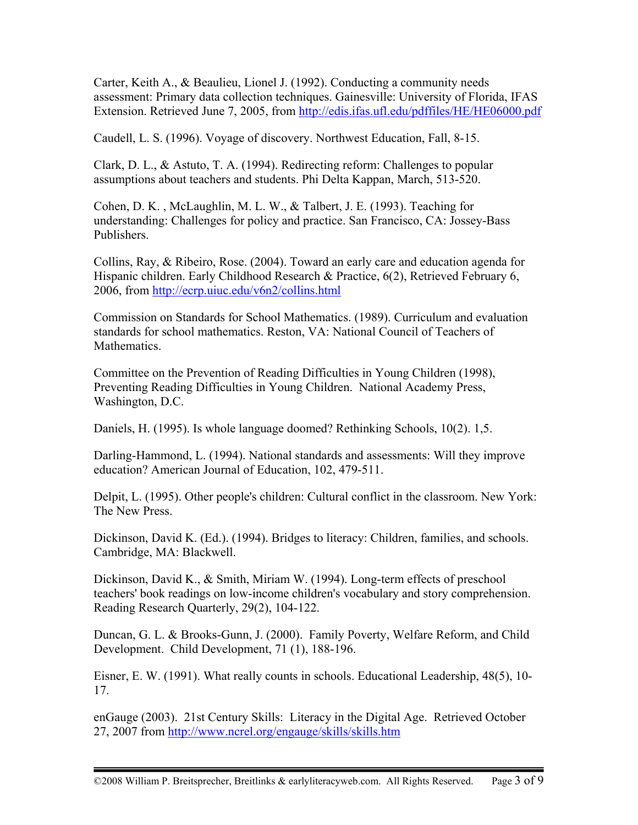Carter, Keith A., & Beaulieu, Lionel J. (1992). Conducting a community needs assessment: Primary data collection techniques. Gainesville: University of Florida, IFAS Extension. Retrieved June 7, 2005, from http://edis.ifas.ufl.edu/pdffiles/HE/HE06000.pdf

Caudell, L. S. (1996). Voyage of discovery. Northwest Education, Fall, 8-15.

Clark, D. L., & Astuto, T. A. (1994). Redirecting reform: Challenges to popular assumptions about teachers and students. Phi Delta Kappan, March, 513-520.

Cohen, D. K. , McLaughlin, M. L. W., & Talbert, J. E. (1993). Teaching for understanding: Challenges for policy and practice. San Francisco, CA: Jossey-Bass Publishers.

Collins, Ray, & Ribeiro, Rose. (2004). Toward an early care and education agenda for Hispanic children. Early Childhood Research & Practice, 6(2), Retrieved February 6, 2006, from http://ecrp.uiuc.edu/v6n2/collins.html

Commission on Standards for School Mathematics. (1989). Curriculum and evaluation standards for school mathematics. Reston, VA: National Council of Teachers of Mathematics.

Committee on the Prevention of Reading Difficulties in Young Children (1998), Preventing Reading Difficulties in Young Children. National Academy Press, Washington, D.C.

Daniels, H. (1995). Is whole language doomed? Rethinking Schools, 10(2). 1,5.

Darling-Hammond, L. (1994). National standards and assessments: Will they improve education? American Journal of Education, 102, 479-511.

Delpit, L. (1995). Other people's children: Cultural conflict in the classroom. New York: The New Press.

Dickinson, David K. (Ed.). (1994). Bridges to literacy: Children, families, and schools. Cambridge, MA: Blackwell.

Dickinson, David K., & Smith, Miriam W. (1994). Long-term effects of preschool teachers' book readings on low-income children's vocabulary and story comprehension. Reading Research Quarterly, 29(2), 104-122.

Duncan, G. L. & Brooks-Gunn, J. (2000). Family Poverty, Welfare Reform, and Child Development. Child Development, 71 (1), 188-196.

Eisner, E. W. (1991). What really counts in schools. Educational Leadership, 48(5), 10- 17.

enGauge (2003). 21st Century Skills: Literacy in the Digital Age. Retrieved October 27, 2007 from http://www.ncrel.org/engauge/skills/skills.htm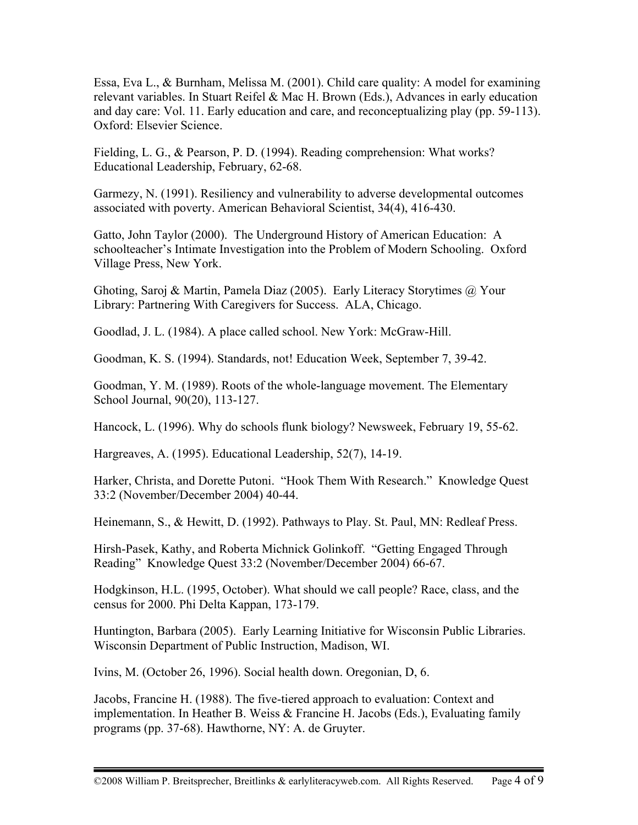Essa, Eva L., & Burnham, Melissa M. (2001). Child care quality: A model for examining relevant variables. In Stuart Reifel & Mac H. Brown (Eds.), Advances in early education and day care: Vol. 11. Early education and care, and reconceptualizing play (pp. 59-113). Oxford: Elsevier Science.

Fielding, L. G., & Pearson, P. D. (1994). Reading comprehension: What works? Educational Leadership, February, 62-68.

Garmezy, N. (1991). Resiliency and vulnerability to adverse developmental outcomes associated with poverty. American Behavioral Scientist, 34(4), 416-430.

Gatto, John Taylor (2000). The Underground History of American Education: A schoolteacher's Intimate Investigation into the Problem of Modern Schooling. Oxford Village Press, New York.

Ghoting, Saroj & Martin, Pamela Diaz (2005). Early Literacy Storytimes @ Your Library: Partnering With Caregivers for Success. ALA, Chicago.

Goodlad, J. L. (1984). A place called school. New York: McGraw-Hill.

Goodman, K. S. (1994). Standards, not! Education Week, September 7, 39-42.

Goodman, Y. M. (1989). Roots of the whole-language movement. The Elementary School Journal, 90(20), 113-127.

Hancock, L. (1996). Why do schools flunk biology? Newsweek, February 19, 55-62.

Hargreaves, A. (1995). Educational Leadership, 52(7), 14-19.

Harker, Christa, and Dorette Putoni. "Hook Them With Research." Knowledge Quest 33:2 (November/December 2004) 40-44.

Heinemann, S., & Hewitt, D. (1992). Pathways to Play. St. Paul, MN: Redleaf Press.

Hirsh-Pasek, Kathy, and Roberta Michnick Golinkoff. "Getting Engaged Through Reading" Knowledge Quest 33:2 (November/December 2004) 66-67.

Hodgkinson, H.L. (1995, October). What should we call people? Race, class, and the census for 2000. Phi Delta Kappan, 173-179.

Huntington, Barbara (2005). Early Learning Initiative for Wisconsin Public Libraries. Wisconsin Department of Public Instruction, Madison, WI.

Ivins, M. (October 26, 1996). Social health down. Oregonian, D, 6.

Jacobs, Francine H. (1988). The five-tiered approach to evaluation: Context and implementation. In Heather B. Weiss & Francine H. Jacobs (Eds.), Evaluating family programs (pp. 37-68). Hawthorne, NY: A. de Gruyter.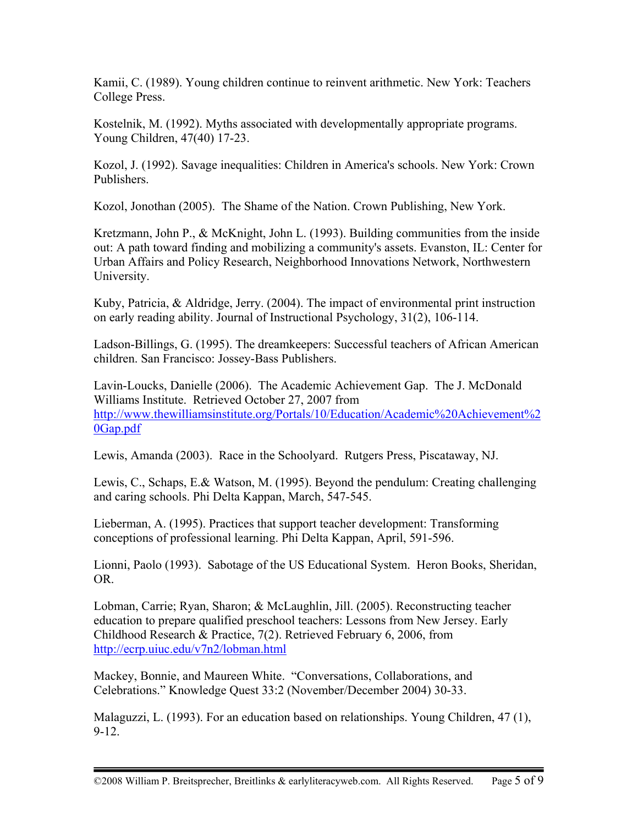Kamii, C. (1989). Young children continue to reinvent arithmetic. New York: Teachers College Press.

Kostelnik, M. (1992). Myths associated with developmentally appropriate programs. Young Children, 47(40) 17-23.

Kozol, J. (1992). Savage inequalities: Children in America's schools. New York: Crown Publishers.

Kozol, Jonothan (2005). The Shame of the Nation. Crown Publishing, New York.

Kretzmann, John P., & McKnight, John L. (1993). Building communities from the inside out: A path toward finding and mobilizing a community's assets. Evanston, IL: Center for Urban Affairs and Policy Research, Neighborhood Innovations Network, Northwestern University.

Kuby, Patricia, & Aldridge, Jerry. (2004). The impact of environmental print instruction on early reading ability. Journal of Instructional Psychology, 31(2), 106-114.

Ladson-Billings, G. (1995). The dreamkeepers: Successful teachers of African American children. San Francisco: Jossey-Bass Publishers.

Lavin-Loucks, Danielle (2006). The Academic Achievement Gap. The J. McDonald Williams Institute. Retrieved October 27, 2007 from http://www.thewilliamsinstitute.org/Portals/10/Education/Academic%20Achievement%2 0Gap.pdf

Lewis, Amanda (2003). Race in the Schoolyard. Rutgers Press, Piscataway, NJ.

Lewis, C., Schaps, E.& Watson, M. (1995). Beyond the pendulum: Creating challenging and caring schools. Phi Delta Kappan, March, 547-545.

Lieberman, A. (1995). Practices that support teacher development: Transforming conceptions of professional learning. Phi Delta Kappan, April, 591-596.

Lionni, Paolo (1993). Sabotage of the US Educational System. Heron Books, Sheridan, OR.

Lobman, Carrie; Ryan, Sharon; & McLaughlin, Jill. (2005). Reconstructing teacher education to prepare qualified preschool teachers: Lessons from New Jersey. Early Childhood Research & Practice, 7(2). Retrieved February 6, 2006, from http://ecrp.uiuc.edu/v7n2/lobman.html

Mackey, Bonnie, and Maureen White. "Conversations, Collaborations, and Celebrations." Knowledge Quest 33:2 (November/December 2004) 30-33.

Malaguzzi, L. (1993). For an education based on relationships. Young Children, 47 (1), 9-12.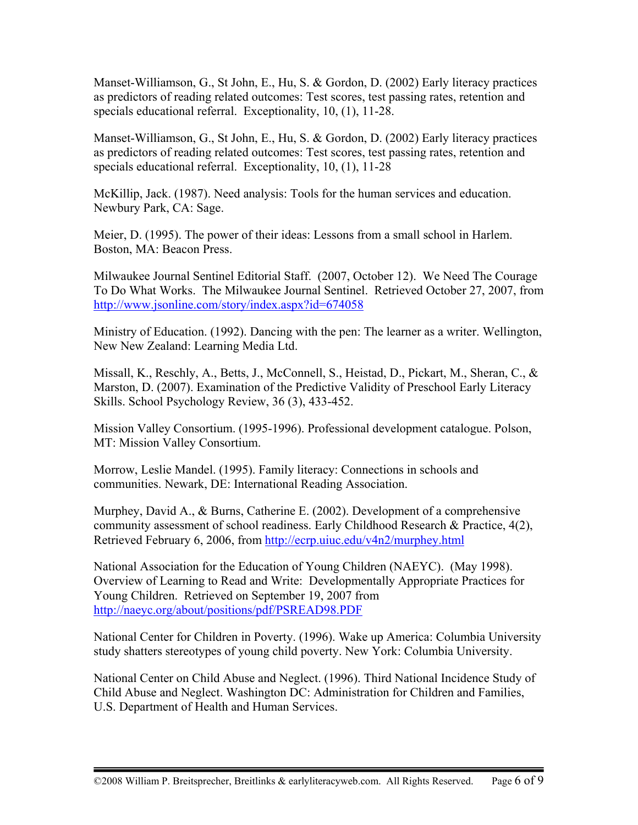Manset-Williamson, G., St John, E., Hu, S. & Gordon, D. (2002) Early literacy practices as predictors of reading related outcomes: Test scores, test passing rates, retention and specials educational referral. Exceptionality, 10, (1), 11-28.

Manset-Williamson, G., St John, E., Hu, S. & Gordon, D. (2002) Early literacy practices as predictors of reading related outcomes: Test scores, test passing rates, retention and specials educational referral. Exceptionality, 10, (1), 11-28

McKillip, Jack. (1987). Need analysis: Tools for the human services and education. Newbury Park, CA: Sage.

Meier, D. (1995). The power of their ideas: Lessons from a small school in Harlem. Boston, MA: Beacon Press.

Milwaukee Journal Sentinel Editorial Staff. (2007, October 12). We Need The Courage To Do What Works. The Milwaukee Journal Sentinel. Retrieved October 27, 2007, from http://www.jsonline.com/story/index.aspx?id=674058

Ministry of Education. (1992). Dancing with the pen: The learner as a writer. Wellington, New New Zealand: Learning Media Ltd.

Missall, K., Reschly, A., Betts, J., McConnell, S., Heistad, D., Pickart, M., Sheran, C., & Marston, D. (2007). Examination of the Predictive Validity of Preschool Early Literacy Skills. School Psychology Review, 36 (3), 433-452.

Mission Valley Consortium. (1995-1996). Professional development catalogue. Polson, MT: Mission Valley Consortium.

Morrow, Leslie Mandel. (1995). Family literacy: Connections in schools and communities. Newark, DE: International Reading Association.

Murphey, David A., & Burns, Catherine E. (2002). Development of a comprehensive community assessment of school readiness. Early Childhood Research & Practice, 4(2), Retrieved February 6, 2006, from http://ecrp.uiuc.edu/v4n2/murphey.html

National Association for the Education of Young Children (NAEYC). (May 1998). Overview of Learning to Read and Write: Developmentally Appropriate Practices for Young Children. Retrieved on September 19, 2007 from http://naeyc.org/about/positions/pdf/PSREAD98.PDF

National Center for Children in Poverty. (1996). Wake up America: Columbia University study shatters stereotypes of young child poverty. New York: Columbia University.

National Center on Child Abuse and Neglect. (1996). Third National Incidence Study of Child Abuse and Neglect. Washington DC: Administration for Children and Families, U.S. Department of Health and Human Services.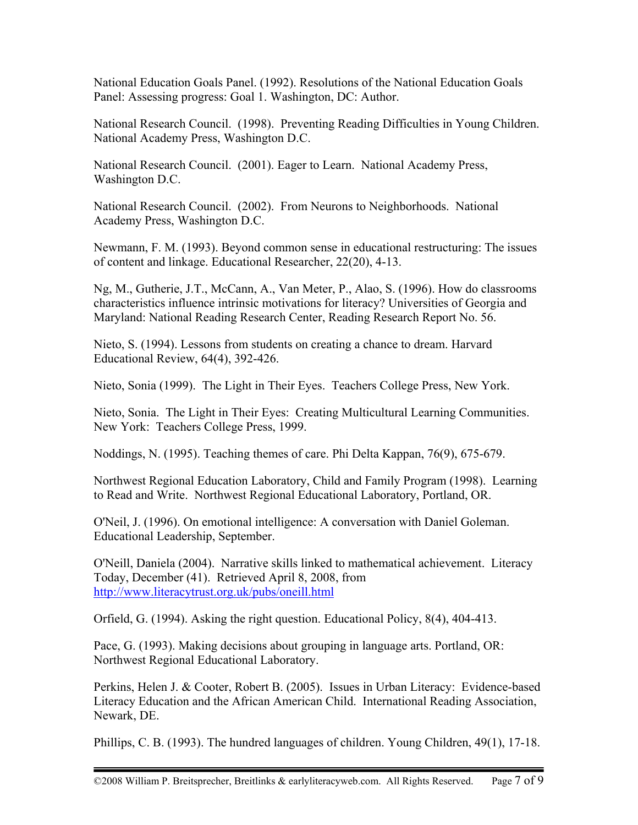National Education Goals Panel. (1992). Resolutions of the National Education Goals Panel: Assessing progress: Goal 1. Washington, DC: Author.

National Research Council. (1998). Preventing Reading Difficulties in Young Children. National Academy Press, Washington D.C.

National Research Council. (2001). Eager to Learn. National Academy Press, Washington D.C.

National Research Council. (2002). From Neurons to Neighborhoods. National Academy Press, Washington D.C.

Newmann, F. M. (1993). Beyond common sense in educational restructuring: The issues of content and linkage. Educational Researcher, 22(20), 4-13.

Ng, M., Gutherie, J.T., McCann, A., Van Meter, P., Alao, S. (1996). How do classrooms characteristics influence intrinsic motivations for literacy? Universities of Georgia and Maryland: National Reading Research Center, Reading Research Report No. 56.

Nieto, S. (1994). Lessons from students on creating a chance to dream. Harvard Educational Review, 64(4), 392-426.

Nieto, Sonia (1999). The Light in Their Eyes. Teachers College Press, New York.

Nieto, Sonia. The Light in Their Eyes: Creating Multicultural Learning Communities. New York: Teachers College Press, 1999.

Noddings, N. (1995). Teaching themes of care. Phi Delta Kappan, 76(9), 675-679.

Northwest Regional Education Laboratory, Child and Family Program (1998). Learning to Read and Write. Northwest Regional Educational Laboratory, Portland, OR.

O'Neil, J. (1996). On emotional intelligence: A conversation with Daniel Goleman. Educational Leadership, September.

O'Neill, Daniela (2004). Narrative skills linked to mathematical achievement. Literacy Today, December (41). Retrieved April 8, 2008, from http://www.literacytrust.org.uk/pubs/oneill.html

Orfield, G. (1994). Asking the right question. Educational Policy, 8(4), 404-413.

Pace, G. (1993). Making decisions about grouping in language arts. Portland, OR: Northwest Regional Educational Laboratory.

Perkins, Helen J. & Cooter, Robert B. (2005). Issues in Urban Literacy: Evidence-based Literacy Education and the African American Child. International Reading Association, Newark, DE.

Phillips, C. B. (1993). The hundred languages of children. Young Children, 49(1), 17-18.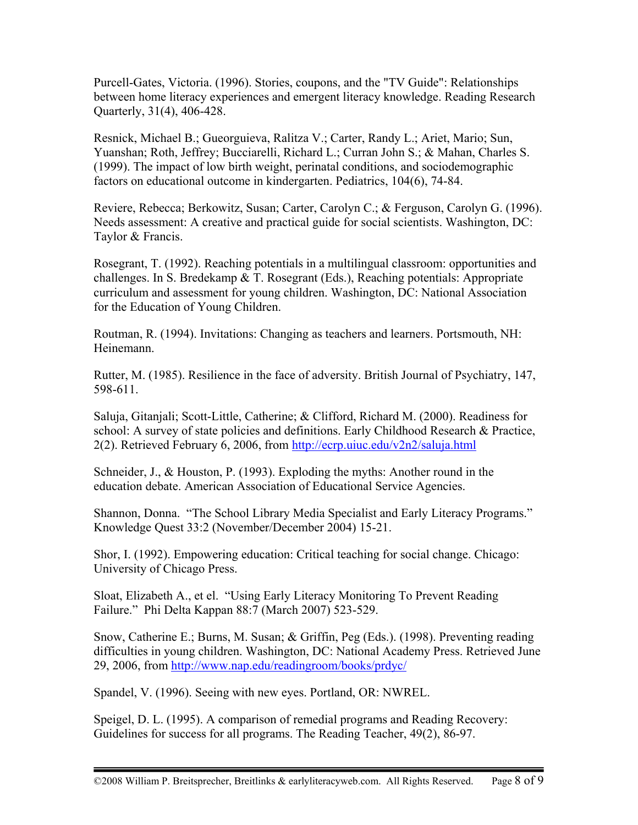Purcell-Gates, Victoria. (1996). Stories, coupons, and the "TV Guide": Relationships between home literacy experiences and emergent literacy knowledge. Reading Research Quarterly, 31(4), 406-428.

Resnick, Michael B.; Gueorguieva, Ralitza V.; Carter, Randy L.; Ariet, Mario; Sun, Yuanshan; Roth, Jeffrey; Bucciarelli, Richard L.; Curran John S.; & Mahan, Charles S. (1999). The impact of low birth weight, perinatal conditions, and sociodemographic factors on educational outcome in kindergarten. Pediatrics, 104(6), 74-84.

Reviere, Rebecca; Berkowitz, Susan; Carter, Carolyn C.; & Ferguson, Carolyn G. (1996). Needs assessment: A creative and practical guide for social scientists. Washington, DC: Taylor & Francis.

Rosegrant, T. (1992). Reaching potentials in a multilingual classroom: opportunities and challenges. In S. Bredekamp & T. Rosegrant (Eds.), Reaching potentials: Appropriate curriculum and assessment for young children. Washington, DC: National Association for the Education of Young Children.

Routman, R. (1994). Invitations: Changing as teachers and learners. Portsmouth, NH: Heinemann.

Rutter, M. (1985). Resilience in the face of adversity. British Journal of Psychiatry, 147, 598-611.

Saluja, Gitanjali; Scott-Little, Catherine; & Clifford, Richard M. (2000). Readiness for school: A survey of state policies and definitions. Early Childhood Research & Practice, 2(2). Retrieved February 6, 2006, from http://ecrp.uiuc.edu/v2n2/saluja.html

Schneider, J., & Houston, P. (1993). Exploding the myths: Another round in the education debate. American Association of Educational Service Agencies.

Shannon, Donna. "The School Library Media Specialist and Early Literacy Programs." Knowledge Quest 33:2 (November/December 2004) 15-21.

Shor, I. (1992). Empowering education: Critical teaching for social change. Chicago: University of Chicago Press.

Sloat, Elizabeth A., et el. "Using Early Literacy Monitoring To Prevent Reading Failure." Phi Delta Kappan 88:7 (March 2007) 523-529.

Snow, Catherine E.; Burns, M. Susan; & Griffin, Peg (Eds.). (1998). Preventing reading difficulties in young children. Washington, DC: National Academy Press. Retrieved June 29, 2006, from http://www.nap.edu/readingroom/books/prdyc/

Spandel, V. (1996). Seeing with new eyes. Portland, OR: NWREL.

Speigel, D. L. (1995). A comparison of remedial programs and Reading Recovery: Guidelines for success for all programs. The Reading Teacher, 49(2), 86-97.